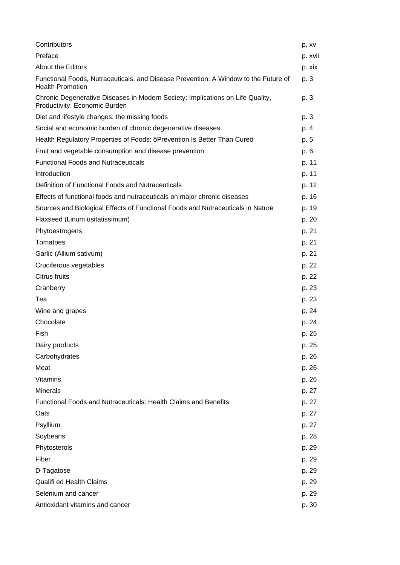| Contributors                                                                                                    | p. xv   |
|-----------------------------------------------------------------------------------------------------------------|---------|
| Preface                                                                                                         | p. xvii |
| <b>About the Editors</b>                                                                                        | p. xix  |
| Functional Foods, Nutraceuticals, and Disease Prevention: A Window to the Future of<br><b>Health Promotion</b>  | p. 3    |
| Chronic Degenerative Diseases in Modern Society: Implications on Life Quality,<br>Productivity, Economic Burden | p. 3    |
| Diet and lifestyle changes: the missing foods                                                                   | p. 3    |
| Social and economic burden of chronic degenerative diseases                                                     | p. 4    |
| Health Regulatory Properties of Foods: ôPrevention Is Better Than Cureö                                         | p. 5    |
| Fruit and vegetable consumption and disease prevention                                                          | p. 6    |
| <b>Functional Foods and Nutraceuticals</b>                                                                      | p. 11   |
| Introduction                                                                                                    | p. 11   |
| Definition of Functional Foods and Nutraceuticals                                                               | p. 12   |
| Effects of functional foods and nutraceuticals on major chronic diseases                                        | p. 16   |
| Sources and Biological Effects of Functional Foods and Nutraceuticals in Nature                                 | p. 19   |
| Flaxseed (Linum usitatissimum)                                                                                  | p. 20   |
| Phytoestrogens                                                                                                  | p. 21   |
| Tomatoes                                                                                                        | p. 21   |
| Garlic (Allium sativum)                                                                                         | p. 21   |
| Cruciferous vegetables                                                                                          | p. 22   |
| Citrus fruits                                                                                                   | p. 22   |
| Cranberry                                                                                                       | p. 23   |
| Tea                                                                                                             | p. 23   |
| Wine and grapes                                                                                                 | p. 24   |
| Chocolate                                                                                                       | p. 24   |
| Fish                                                                                                            | p. 25   |
| Dairy products                                                                                                  | p. 25   |
| Carbohydrates                                                                                                   | p. 26   |
| Meat                                                                                                            | p. 26   |
| Vitamins                                                                                                        | p. 26   |
| <b>Minerals</b>                                                                                                 | p. 27   |
| <b>Functional Foods and Nutraceuticals: Health Claims and Benefits</b>                                          | p. 27   |
| Oats                                                                                                            | p. 27   |
| Psyllium                                                                                                        | p. 27   |
| Soybeans                                                                                                        | p. 28   |
| Phytosterols                                                                                                    | p. 29   |
| Fiber                                                                                                           | p. 29   |
| D-Tagatose                                                                                                      | p. 29   |
| Qualifi ed Health Claims                                                                                        | p. 29   |
| Selenium and cancer                                                                                             | p. 29   |
| Antioxidant vitamins and cancer                                                                                 | p. 30   |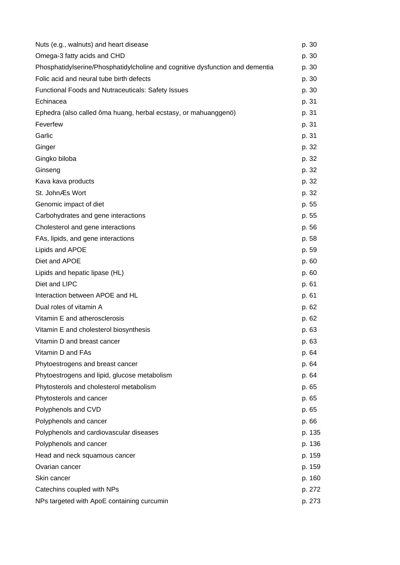| Nuts (e.g., walnuts) and heart disease                                        | p. 30  |
|-------------------------------------------------------------------------------|--------|
| Omega-3 fatty acids and CHD                                                   | p. 30  |
| Phosphatidylserine/Phosphatidylcholine and cognitive dysfunction and dementia | p. 30  |
| Folic acid and neural tube birth defects                                      | p. 30  |
| <b>Functional Foods and Nutraceuticals: Safety Issues</b>                     | p. 30  |
| Echinacea                                                                     | p. 31  |
| Ephedra (also called ôma huang, herbal ecstasy, or mahuanggenö)               | p. 31  |
| Feverfew                                                                      | p. 31  |
| Garlic                                                                        | p. 31  |
| Ginger                                                                        | p. 32  |
| Gingko biloba                                                                 | p. 32  |
| Ginseng                                                                       | p. 32  |
| Kava kava products                                                            | p. 32  |
| St. JohnÆs Wort                                                               | p. 32  |
| Genomic impact of diet                                                        | p. 55  |
| Carbohydrates and gene interactions                                           | p. 55  |
| Cholesterol and gene interactions                                             | p. 56  |
| FAs, lipids, and gene interactions                                            | p. 58  |
| Lipids and APOE                                                               | p. 59  |
| Diet and APOE                                                                 | p. 60  |
| Lipids and hepatic lipase (HL)                                                | p. 60  |
| Diet and LIPC                                                                 | p. 61  |
| Interaction between APOE and HL                                               | p. 61  |
| Dual roles of vitamin A                                                       | p. 62  |
| Vitamin E and atherosclerosis                                                 | p. 62  |
| Vitamin E and cholesterol biosynthesis                                        | p. 63  |
| Vitamin D and breast cancer                                                   | p. 63  |
| Vitamin D and FAs                                                             | p. 64  |
| Phytoestrogens and breast cancer                                              | p. 64  |
| Phytoestrogens and lipid, glucose metabolism                                  | p. 64  |
| Phytosterols and cholesterol metabolism                                       | p. 65  |
| Phytosterols and cancer                                                       | p. 65  |
| Polyphenols and CVD                                                           | p. 65  |
| Polyphenols and cancer                                                        | p. 66  |
| Polyphenols and cardiovascular diseases                                       | p. 135 |
| Polyphenols and cancer                                                        | p. 136 |
| Head and neck squamous cancer                                                 | p. 159 |
| Ovarian cancer                                                                | p. 159 |
| Skin cancer                                                                   | p. 160 |
| Catechins coupled with NPs                                                    | p. 272 |
| NPs targeted with ApoE containing curcumin                                    | p. 273 |